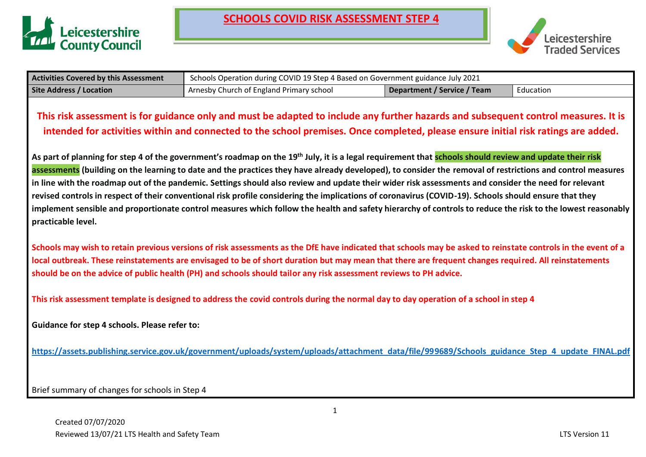



| <b>Activities Covered by this Assessment</b> | Schools Operation during COVID 19 Step 4 Based on Government guidance July 2021 |                             |           |
|----------------------------------------------|---------------------------------------------------------------------------------|-----------------------------|-----------|
| <b>Site Address / Location</b>               | Arnesby Church of England Primary school                                        | Department / Service / Team | Education |

### **This risk assessment is for guidance only and must be adapted to include any further hazards and subsequent control measures. It is intended for activities within and connected to the school premises. Once completed, please ensure initial risk ratings are added.**

**As part of planning for step 4 of the government's roadmap on the 19th July, it is a legal requirement that schools should review and update their risk assessments (building on the learning to date and the practices they have already developed), to consider the removal of restrictions and control measures in line with the roadmap out of the pandemic. Settings should also review and update their wider risk assessments and consider the need for relevant revised controls in respect of their conventional risk profile considering the implications of coronavirus (COVID-19). Schools should ensure that they implement sensible and proportionate control measures which follow the health and safety hierarchy of controls to reduce the risk to the lowest reasonably practicable level.**

**Schools may wish to retain previous versions of risk assessments as the DfE have indicated that schools may be asked to reinstate controls in the event of a local outbreak. These reinstatements are envisaged to be of short duration but may mean that there are frequent changes required. All reinstatements should be on the advice of public health (PH) and schools should tailor any risk assessment reviews to PH advice.**

**This risk assessment template is designed to address the covid controls during the normal day to day operation of a school in step 4**

**Guidance for step 4 schools. Please refer to:** 

**[https://assets.publishing.service.gov.uk/government/uploads/system/uploads/attachment\\_data/file/999689/Schools\\_guidance\\_Step\\_4\\_update\\_FINAL.pdf](https://assets.publishing.service.gov.uk/government/uploads/system/uploads/attachment_data/file/999689/Schools_guidance_Step_4_update_FINAL.pdf)**

Brief summary of changes for schools in Step 4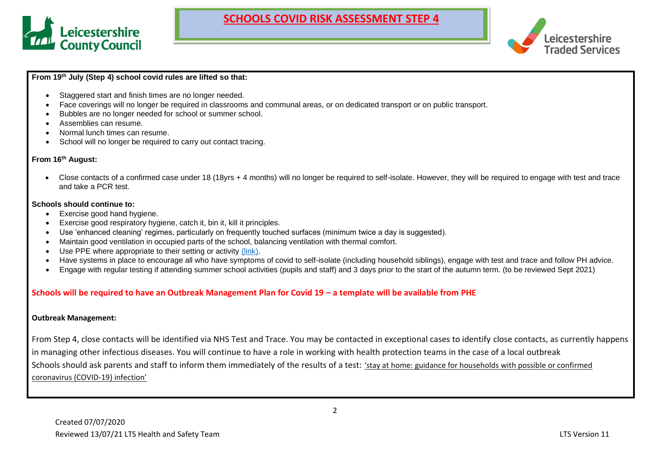



#### **From 19th July (Step 4) school covid rules are lifted so that:**

- Staggered start and finish times are no longer needed.
- Face coverings will no longer be required in classrooms and communal areas, or on dedicated transport or on public transport.
- Bubbles are no longer needed for school or summer school.
- Assemblies can resume.
- Normal lunch times can resume.
- School will no longer be required to carry out contact tracing.

#### **From 16th August:**

• Close contacts of a confirmed case under 18 (18yrs + 4 months) will no longer be required to self-isolate. However, they will be required to engage with test and trace and take a PCR test.

#### **Schools should continue to:**

- Exercise good hand hygiene.
- Exercise good respiratory hygiene, catch it, bin it, kill it principles.
- Use 'enhanced cleaning' regimes, particularly on frequently touched surfaces (minimum twice a day is suggested).
- Maintain good ventilation in occupied parts of the school, balancing ventilation with thermal comfort.
- Use PPE where appropriate to their setting or activity [\(link\).](https://www.gov.uk/government/publications/safe-working-in-education-childcare-and-childrens-social-care/safe-working-in-education-childcare-and-childrens-social-care-settings-including-the-use-of-personal-protective-equipment-ppe)
- Have systems in place to encourage all who have symptoms of covid to self-isolate (including household siblings), engage with test and trace and follow PH advice.
- Engage with regular testing if attending summer school activities (pupils and staff) and 3 days prior to the start of the autumn term. (to be reviewed Sept 2021)

#### **Schools will be required to have an Outbreak Management Plan for Covid 19 – a template will be available from PHE**

#### **Outbreak Management:**

From Step 4, close contacts will be identified via NHS Test and Trace. You may be contacted in exceptional cases to identify close contacts, as currently happens in managing other infectious diseases. You will continue to have a role in working with health protection teams in the case of a local outbreak Schools should ask parents and staff to inform them immediately of the results of a test: 'stay at home: guidance for [households](https://www.gov.uk/government/publications/covid-19-stay-at-home-guidance) with possible or confirmed [coronavirus](https://www.gov.uk/government/publications/covid-19-stay-at-home-guidance) (COVID-19) infection'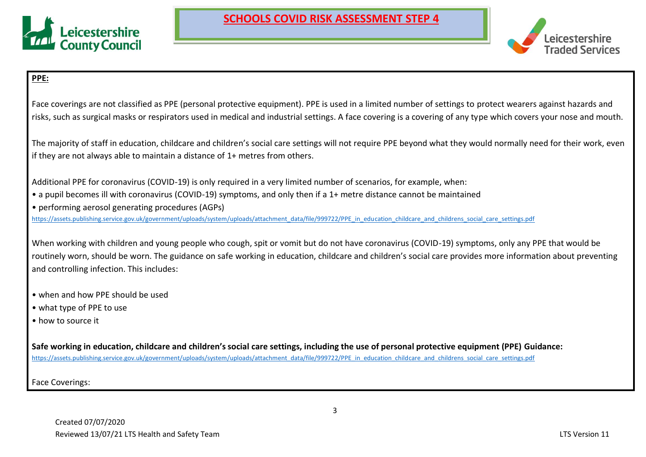



### **PPE:**

Face coverings are not classified as PPE (personal protective equipment). PPE is used in a limited number of settings to protect wearers against hazards and risks, such as surgical masks or respirators used in medical and industrial settings. A face covering is a covering of any type which covers your nose and mouth.

The majority of staff in education, childcare and children's social care settings will not require PPE beyond what they would normally need for their work, even if they are not always able to maintain a distance of 1+ metres from others.

Additional PPE for coronavirus (COVID-19) is only required in a very limited number of scenarios, for example, when:

- a pupil becomes ill with coronavirus (COVID-19) symptoms, and only then if a 1+ metre distance cannot be maintained
- performing aerosol generating procedures (AGPs)

[https://assets.publishing.service.gov.uk/government/uploads/system/uploads/attachment\\_data/file/999722/PPE\\_in\\_education\\_childcare\\_and\\_childrens\\_social\\_care\\_settings.pdf](https://assets.publishing.service.gov.uk/government/uploads/system/uploads/attachment_data/file/999722/PPE_in_education_childcare_and_childrens_social_care_settings.pdf)

When working with children and young people who cough, spit or vomit but do not have coronavirus (COVID-19) symptoms, only any PPE that would be routinely worn, should be worn. The guidance on safe working in education, childcare and children's social care provides more information about preventing and controlling infection. This includes:

- when and how PPE should be used
- what type of PPE to use
- how to source it

**Safe working in education, childcare and children's social care settings, including the use of personal protective equipment (PPE) Guidance:** [https://assets.publishing.service.gov.uk/government/uploads/system/uploads/attachment\\_data/file/999722/PPE\\_in\\_education\\_childcare\\_and\\_childrens\\_social\\_care\\_settings.pdf](https://assets.publishing.service.gov.uk/government/uploads/system/uploads/attachment_data/file/999722/PPE_in_education_childcare_and_childrens_social_care_settings.pdf)

Face Coverings: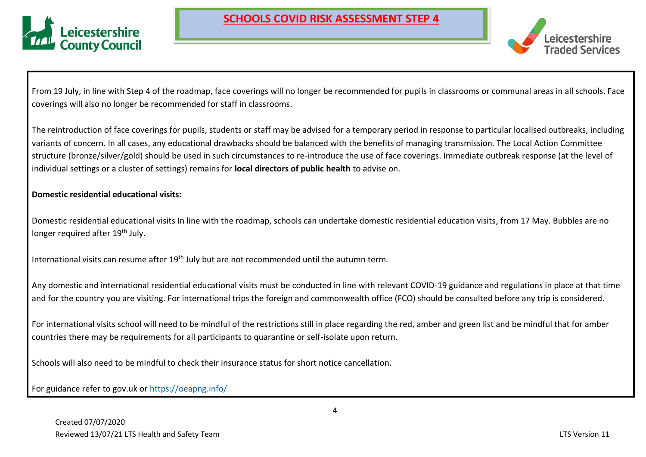



From 19 July, in line with Step 4 of the roadmap, face coverings will no longer be recommended for pupils in classrooms or communal areas in all schools. Face coverings will also no longer be recommended for staff in classrooms.

The reintroduction of face coverings for pupils, students or staff may be advised for a temporary period in response to particular localised outbreaks, including variants of concern. In all cases, any educational drawbacks should be balanced with the benefits of managing transmission. The Local Action Committee structure (bronze/silver/gold) should be used in such circumstances to re-introduce the use of face coverings. Immediate outbreak response (at the level of individual settings or a cluster of settings) remains for **local directors of public health** to advise on.

### **Domestic residential educational visits:**

Domestic residential educational visits In line with the roadmap, schools can undertake domestic residential education visits, from 17 May. Bubbles are no longer required after 19<sup>th</sup> July.

International visits can resume after 19<sup>th</sup> July but are not recommended until the autumn term.

Any domestic and international residential educational visits must be conducted in line with relevant COVID-19 guidance and regulations in place at that time and for the country you are visiting. For international trips the foreign and commonwealth office (FCO) should be consulted before any trip is considered.

For international visits school will need to be mindful of the restrictions still in place regarding the red, amber and green list and be mindful that for amber countries there may be requirements for all participants to quarantine or self-isolate upon return.

Schools will also need to be mindful to check their insurance status for short notice cancellation.

For guidance refer to gov.uk or<https://oeapng.info/>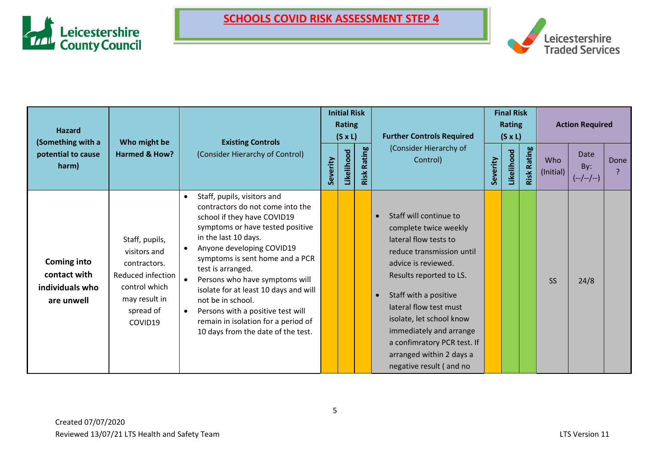



| <b>Hazard</b><br>(Something with a<br>potential to cause            | Who might be<br><b>Existing Controls</b>                                                                                      |                                                                                                                                                                                                                                                                                                                                                                                                                                                                                |          |            |                |                                                                                                                                                                                                                                                                                                                                                                                   |          |            |                | <b>Initial Risk</b><br><b>Rating</b><br>$(S \times L)$ |                            | <b>Further Controls Required</b><br>(Consider Hierarchy of |  | <b>Final Risk</b><br>Rating<br>$(S \times L)$ |  |  | <b>Action Required</b> |  |
|---------------------------------------------------------------------|-------------------------------------------------------------------------------------------------------------------------------|--------------------------------------------------------------------------------------------------------------------------------------------------------------------------------------------------------------------------------------------------------------------------------------------------------------------------------------------------------------------------------------------------------------------------------------------------------------------------------|----------|------------|----------------|-----------------------------------------------------------------------------------------------------------------------------------------------------------------------------------------------------------------------------------------------------------------------------------------------------------------------------------------------------------------------------------|----------|------------|----------------|--------------------------------------------------------|----------------------------|------------------------------------------------------------|--|-----------------------------------------------|--|--|------------------------|--|
| harm)                                                               | Harmed & How?                                                                                                                 | (Consider Hierarchy of Control)                                                                                                                                                                                                                                                                                                                                                                                                                                                | Severity | Likelihood | Rating<br>Risk | Control)                                                                                                                                                                                                                                                                                                                                                                          | Severity | Likelihood | Rating<br>Risk | Who<br>(Initial)                                       | Date<br>By:<br>$(-/-/-/-)$ | Done                                                       |  |                                               |  |  |                        |  |
| <b>Coming into</b><br>contact with<br>individuals who<br>are unwell | Staff, pupils,<br>visitors and<br>contractors.<br>Reduced infection<br>control which<br>may result in<br>spread of<br>COVID19 | Staff, pupils, visitors and<br>$\bullet$<br>contractors do not come into the<br>school if they have COVID19<br>symptoms or have tested positive<br>in the last 10 days.<br>Anyone developing COVID19<br>symptoms is sent home and a PCR<br>test is arranged.<br>Persons who have symptoms will<br>isolate for at least 10 days and will<br>not be in school.<br>Persons with a positive test will<br>remain in isolation for a period of<br>10 days from the date of the test. |          |            |                | Staff will continue to<br>$\bullet$<br>complete twice weekly<br>lateral flow tests to<br>reduce transmission until<br>advice is reviewed.<br>Results reported to LS.<br>Staff with a positive<br>$\bullet$<br>lateral flow test must<br>isolate, let school know<br>immediately and arrange<br>a confimratory PCR test. If<br>arranged within 2 days a<br>negative result (and no |          |            |                | <b>SS</b>                                              | 24/8                       |                                                            |  |                                               |  |  |                        |  |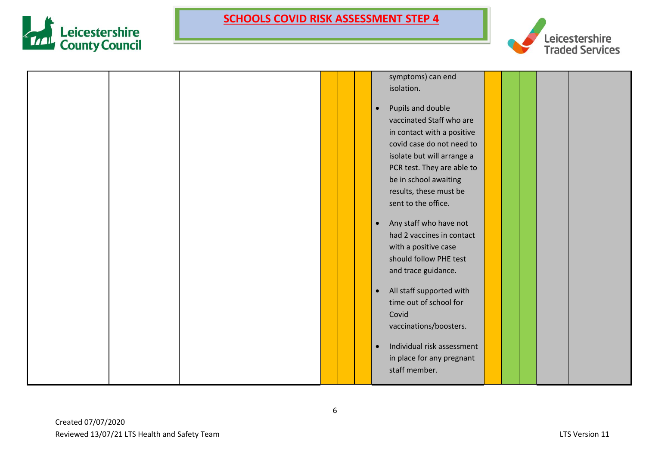



|  |  | symptoms) can end                       |  |  |  |
|--|--|-----------------------------------------|--|--|--|
|  |  | isolation.                              |  |  |  |
|  |  |                                         |  |  |  |
|  |  | Pupils and double<br>$\bullet$          |  |  |  |
|  |  | vaccinated Staff who are                |  |  |  |
|  |  | in contact with a positive              |  |  |  |
|  |  | covid case do not need to               |  |  |  |
|  |  | isolate but will arrange a              |  |  |  |
|  |  | PCR test. They are able to              |  |  |  |
|  |  | be in school awaiting                   |  |  |  |
|  |  | results, these must be                  |  |  |  |
|  |  | sent to the office.                     |  |  |  |
|  |  |                                         |  |  |  |
|  |  | Any staff who have not<br>$\bullet$     |  |  |  |
|  |  | had 2 vaccines in contact               |  |  |  |
|  |  | with a positive case                    |  |  |  |
|  |  | should follow PHE test                  |  |  |  |
|  |  | and trace guidance.                     |  |  |  |
|  |  |                                         |  |  |  |
|  |  | All staff supported with<br>$\bullet$   |  |  |  |
|  |  | time out of school for                  |  |  |  |
|  |  | Covid                                   |  |  |  |
|  |  | vaccinations/boosters.                  |  |  |  |
|  |  |                                         |  |  |  |
|  |  | Individual risk assessment<br>$\bullet$ |  |  |  |
|  |  | in place for any pregnant               |  |  |  |
|  |  | staff member.                           |  |  |  |
|  |  |                                         |  |  |  |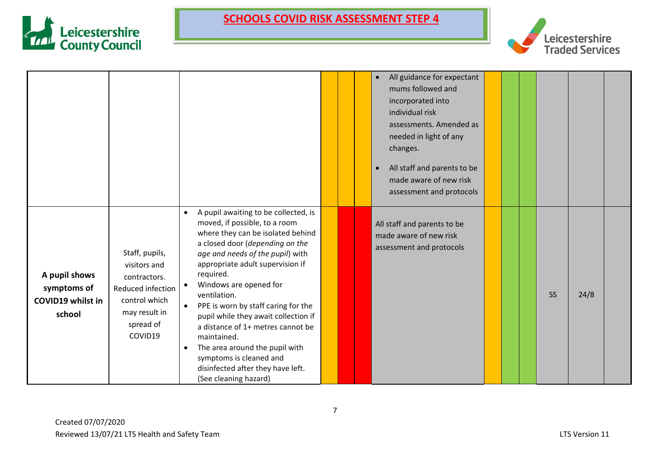



|                                                             |                                                                                                                               |                                                                                                                                                                                                                                                                                                                                                                                                                                                                                                                                                                      |  | All guidance for expectant<br>$\bullet$<br>mums followed and<br>incorporated into<br>individual risk<br>assessments. Amended as<br>needed in light of any<br>changes.<br>All staff and parents to be<br>made aware of new risk<br>assessment and protocols |  |           |      |  |
|-------------------------------------------------------------|-------------------------------------------------------------------------------------------------------------------------------|----------------------------------------------------------------------------------------------------------------------------------------------------------------------------------------------------------------------------------------------------------------------------------------------------------------------------------------------------------------------------------------------------------------------------------------------------------------------------------------------------------------------------------------------------------------------|--|------------------------------------------------------------------------------------------------------------------------------------------------------------------------------------------------------------------------------------------------------------|--|-----------|------|--|
| A pupil shows<br>symptoms of<br>COVID19 whilst in<br>school | Staff, pupils,<br>visitors and<br>contractors.<br>Reduced infection<br>control which<br>may result in<br>spread of<br>COVID19 | A pupil awaiting to be collected, is<br>$\bullet$<br>moved, if possible, to a room<br>where they can be isolated behind<br>a closed door (depending on the<br>age and needs of the pupil) with<br>appropriate adult supervision if<br>required.<br>Windows are opened for<br>ventilation.<br>PPE is worn by staff caring for the<br>pupil while they await collection if<br>a distance of 1+ metres cannot be<br>maintained.<br>The area around the pupil with<br>$\bullet$<br>symptoms is cleaned and<br>disinfected after they have left.<br>(See cleaning hazard) |  | All staff and parents to be<br>made aware of new risk<br>assessment and protocols                                                                                                                                                                          |  | <b>SS</b> | 24/8 |  |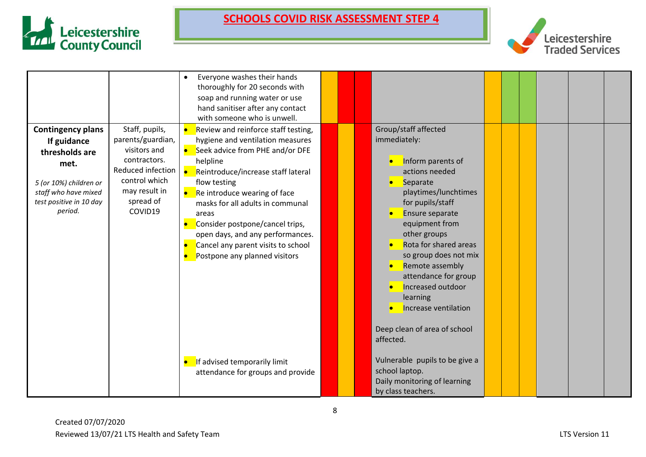



|                                                                                                                                                           |                                                                                                                                                    | Everyone washes their hands<br>$\bullet$<br>thoroughly for 20 seconds with<br>soap and running water or use<br>hand sanitiser after any contact<br>with someone who is unwell.                                                                                                                                                                                                                          |  |                                                                                                                                                                                                                                                                                                                                                                                               |  |  |  |
|-----------------------------------------------------------------------------------------------------------------------------------------------------------|----------------------------------------------------------------------------------------------------------------------------------------------------|---------------------------------------------------------------------------------------------------------------------------------------------------------------------------------------------------------------------------------------------------------------------------------------------------------------------------------------------------------------------------------------------------------|--|-----------------------------------------------------------------------------------------------------------------------------------------------------------------------------------------------------------------------------------------------------------------------------------------------------------------------------------------------------------------------------------------------|--|--|--|
| <b>Contingency plans</b><br>If guidance<br>thresholds are<br>met.<br>5 (or 10%) children or<br>staff who have mixed<br>test positive in 10 day<br>period. | Staff, pupils,<br>parents/guardian,<br>visitors and<br>contractors.<br>Reduced infection<br>control which<br>may result in<br>spread of<br>COVID19 | Review and reinforce staff testing,<br>hygiene and ventilation measures<br>Seek advice from PHE and/or DFE<br>helpline<br>Reintroduce/increase staff lateral<br>flow testing<br>Re introduce wearing of face<br>masks for all adults in communal<br>areas<br>Consider postpone/cancel trips,<br>open days, and any performances.<br>Cancel any parent visits to school<br>Postpone any planned visitors |  | Group/staff affected<br>immediately:<br>Inform parents of<br>actions needed<br>• Separate<br>playtimes/lunchtimes<br>for pupils/staff<br>Ensure separate<br>equipment from<br>other groups<br>Rota for shared areas<br>so group does not mix<br>Remote assembly<br>attendance for group<br>Increased outdoor<br>learning<br>Increase ventilation<br>Deep clean of area of school<br>affected. |  |  |  |
|                                                                                                                                                           |                                                                                                                                                    | If advised temporarily limit<br>attendance for groups and provide                                                                                                                                                                                                                                                                                                                                       |  | Vulnerable pupils to be give a<br>school laptop.<br>Daily monitoring of learning<br>by class teachers.                                                                                                                                                                                                                                                                                        |  |  |  |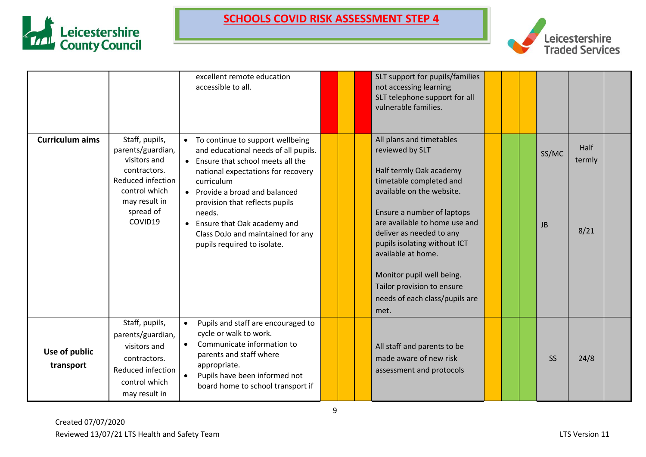



|                            |                                                                                                                                                    | excellent remote education<br>accessible to all.                                                                                                                                                                                                                                                                                                                              |  | SLT support for pupils/families<br>not accessing learning<br>SLT telephone support for all<br>vulnerable families.                                                                                                                                                                                                                                                                   |  |                    |                        |  |
|----------------------------|----------------------------------------------------------------------------------------------------------------------------------------------------|-------------------------------------------------------------------------------------------------------------------------------------------------------------------------------------------------------------------------------------------------------------------------------------------------------------------------------------------------------------------------------|--|--------------------------------------------------------------------------------------------------------------------------------------------------------------------------------------------------------------------------------------------------------------------------------------------------------------------------------------------------------------------------------------|--|--------------------|------------------------|--|
| <b>Curriculum aims</b>     | Staff, pupils,<br>parents/guardian,<br>visitors and<br>contractors.<br>Reduced infection<br>control which<br>may result in<br>spread of<br>COVID19 | To continue to support wellbeing<br>$\bullet$<br>and educational needs of all pupils.<br>• Ensure that school meets all the<br>national expectations for recovery<br>curriculum<br>• Provide a broad and balanced<br>provision that reflects pupils<br>needs.<br>Ensure that Oak academy and<br>$\bullet$<br>Class DoJo and maintained for any<br>pupils required to isolate. |  | All plans and timetables<br>reviewed by SLT<br>Half termly Oak academy<br>timetable completed and<br>available on the website.<br>Ensure a number of laptops<br>are available to home use and<br>deliver as needed to any<br>pupils isolating without ICT<br>available at home.<br>Monitor pupil well being.<br>Tailor provision to ensure<br>needs of each class/pupils are<br>met. |  | SS/MC<br><b>JB</b> | Half<br>termly<br>8/21 |  |
| Use of public<br>transport | Staff, pupils,<br>parents/guardian,<br>visitors and<br>contractors.<br>Reduced infection<br>control which<br>may result in                         | Pupils and staff are encouraged to<br>$\bullet$<br>cycle or walk to work.<br>Communicate information to<br>$\bullet$<br>parents and staff where<br>appropriate.<br>Pupils have been informed not<br>board home to school transport if                                                                                                                                         |  | All staff and parents to be<br>made aware of new risk<br>assessment and protocols                                                                                                                                                                                                                                                                                                    |  | <b>SS</b>          | 24/8                   |  |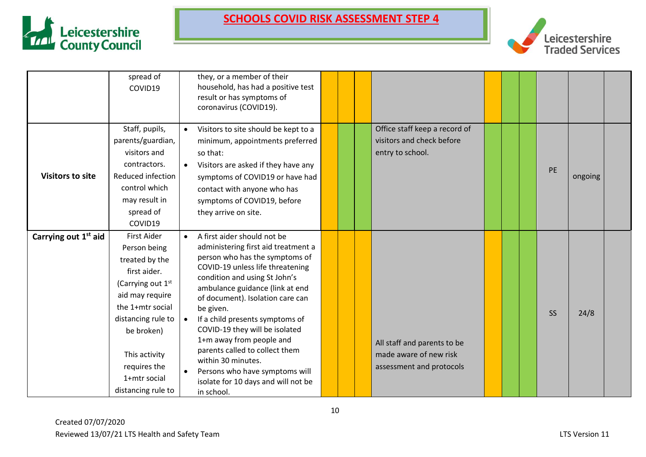



|                                  | spread of<br>COVID19                                                                                                                                                                                                                                    |           | they, or a member of their<br>household, has had a positive test<br>result or has symptoms of<br>coronavirus (COVID19).                                                                                                                                                                                                                                                                                                                                                                                       |  |                                                                                   |  |           |         |  |
|----------------------------------|---------------------------------------------------------------------------------------------------------------------------------------------------------------------------------------------------------------------------------------------------------|-----------|---------------------------------------------------------------------------------------------------------------------------------------------------------------------------------------------------------------------------------------------------------------------------------------------------------------------------------------------------------------------------------------------------------------------------------------------------------------------------------------------------------------|--|-----------------------------------------------------------------------------------|--|-----------|---------|--|
| <b>Visitors to site</b>          | Staff, pupils,<br>parents/guardian,<br>visitors and<br>contractors.<br>Reduced infection<br>control which<br>may result in<br>spread of<br>COVID19                                                                                                      | $\bullet$ | Visitors to site should be kept to a<br>minimum, appointments preferred<br>so that:<br>Visitors are asked if they have any<br>symptoms of COVID19 or have had<br>contact with anyone who has<br>symptoms of COVID19, before<br>they arrive on site.                                                                                                                                                                                                                                                           |  | Office staff keep a record of<br>visitors and check before<br>entry to school.    |  | PE        | ongoing |  |
| Carrying out 1 <sup>st</sup> aid | <b>First Aider</b><br>Person being<br>treated by the<br>first aider.<br>(Carrying out 1 <sup>st</sup><br>aid may require<br>the 1+mtr social<br>distancing rule to<br>be broken)<br>This activity<br>requires the<br>1+mtr social<br>distancing rule to | $\bullet$ | A first aider should not be<br>administering first aid treatment a<br>person who has the symptoms of<br>COVID-19 unless life threatening<br>condition and using St John's<br>ambulance guidance (link at end<br>of document). Isolation care can<br>be given.<br>If a child presents symptoms of<br>COVID-19 they will be isolated<br>1+m away from people and<br>parents called to collect them<br>within 30 minutes.<br>Persons who have symptoms will<br>isolate for 10 days and will not be<br>in school. |  | All staff and parents to be<br>made aware of new risk<br>assessment and protocols |  | <b>SS</b> | 24/8    |  |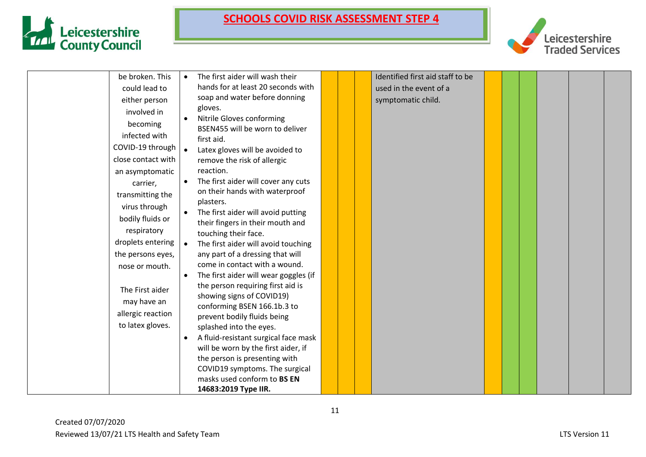



| be broken. This    | $\bullet$ | The first aider will wash their       |  | Identified first aid staff to be |  |  |  |
|--------------------|-----------|---------------------------------------|--|----------------------------------|--|--|--|
| could lead to      |           | hands for at least 20 seconds with    |  | used in the event of a           |  |  |  |
| either person      |           | soap and water before donning         |  | symptomatic child.               |  |  |  |
| involved in        |           | gloves.                               |  |                                  |  |  |  |
| becoming           |           | Nitrile Gloves conforming             |  |                                  |  |  |  |
| infected with      |           | BSEN455 will be worn to deliver       |  |                                  |  |  |  |
|                    |           | first aid.                            |  |                                  |  |  |  |
| COVID-19 through   |           | Latex gloves will be avoided to       |  |                                  |  |  |  |
| close contact with |           | remove the risk of allergic           |  |                                  |  |  |  |
| an asymptomatic    |           | reaction.                             |  |                                  |  |  |  |
| carrier,           |           | The first aider will cover any cuts   |  |                                  |  |  |  |
| transmitting the   |           | on their hands with waterproof        |  |                                  |  |  |  |
| virus through      |           | plasters.                             |  |                                  |  |  |  |
| bodily fluids or   |           | The first aider will avoid putting    |  |                                  |  |  |  |
| respiratory        |           | their fingers in their mouth and      |  |                                  |  |  |  |
|                    |           | touching their face.                  |  |                                  |  |  |  |
| droplets entering  | $\bullet$ | The first aider will avoid touching   |  |                                  |  |  |  |
| the persons eyes,  |           | any part of a dressing that will      |  |                                  |  |  |  |
| nose or mouth.     |           | come in contact with a wound.         |  |                                  |  |  |  |
|                    |           | The first aider will wear goggles (if |  |                                  |  |  |  |
| The First aider    |           | the person requiring first aid is     |  |                                  |  |  |  |
| may have an        |           | showing signs of COVID19)             |  |                                  |  |  |  |
| allergic reaction  |           | conforming BSEN 166.1b.3 to           |  |                                  |  |  |  |
| to latex gloves.   |           | prevent bodily fluids being           |  |                                  |  |  |  |
|                    |           | splashed into the eyes.               |  |                                  |  |  |  |
|                    | $\bullet$ | A fluid-resistant surgical face mask  |  |                                  |  |  |  |
|                    |           | will be worn by the first aider, if   |  |                                  |  |  |  |
|                    |           | the person is presenting with         |  |                                  |  |  |  |
|                    |           | COVID19 symptoms. The surgical        |  |                                  |  |  |  |
|                    |           | masks used conform to BS EN           |  |                                  |  |  |  |
|                    |           | 14683:2019 Type IIR.                  |  |                                  |  |  |  |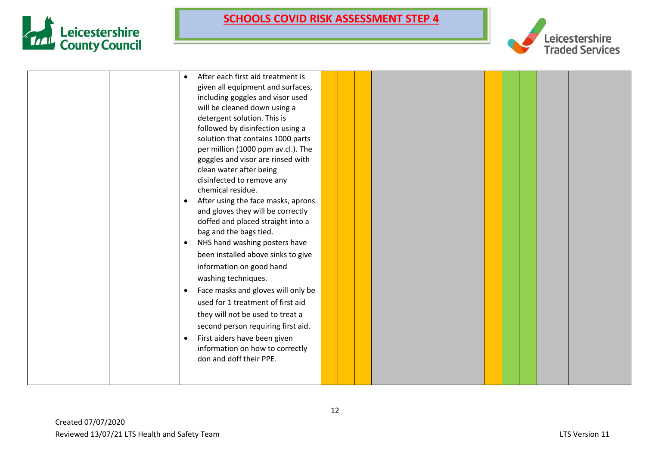



|  |           | After each first aid treatment is                               |  |  |  |  |  |
|--|-----------|-----------------------------------------------------------------|--|--|--|--|--|
|  |           | given all equipment and surfaces,                               |  |  |  |  |  |
|  |           | including goggles and visor used                                |  |  |  |  |  |
|  |           | will be cleaned down using a                                    |  |  |  |  |  |
|  |           | detergent solution. This is                                     |  |  |  |  |  |
|  |           | followed by disinfection using a                                |  |  |  |  |  |
|  |           | solution that contains 1000 parts                               |  |  |  |  |  |
|  |           | per million (1000 ppm av.cl.). The                              |  |  |  |  |  |
|  |           | goggles and visor are rinsed with                               |  |  |  |  |  |
|  |           | clean water after being                                         |  |  |  |  |  |
|  |           | disinfected to remove any                                       |  |  |  |  |  |
|  |           | chemical residue.                                               |  |  |  |  |  |
|  | $\bullet$ | After using the face masks, aprons                              |  |  |  |  |  |
|  |           | and gloves they will be correctly                               |  |  |  |  |  |
|  |           | doffed and placed straight into a                               |  |  |  |  |  |
|  |           | bag and the bags tied.                                          |  |  |  |  |  |
|  |           | NHS hand washing posters have                                   |  |  |  |  |  |
|  |           | been installed above sinks to give                              |  |  |  |  |  |
|  |           | information on good hand                                        |  |  |  |  |  |
|  |           | washing techniques.                                             |  |  |  |  |  |
|  | $\bullet$ | Face masks and gloves will only be                              |  |  |  |  |  |
|  |           | used for 1 treatment of first aid                               |  |  |  |  |  |
|  |           | they will not be used to treat a                                |  |  |  |  |  |
|  |           | second person requiring first aid.                              |  |  |  |  |  |
|  |           |                                                                 |  |  |  |  |  |
|  |           | First aiders have been given<br>information on how to correctly |  |  |  |  |  |
|  |           | don and doff their PPE.                                         |  |  |  |  |  |
|  |           |                                                                 |  |  |  |  |  |
|  |           |                                                                 |  |  |  |  |  |
|  |           |                                                                 |  |  |  |  |  |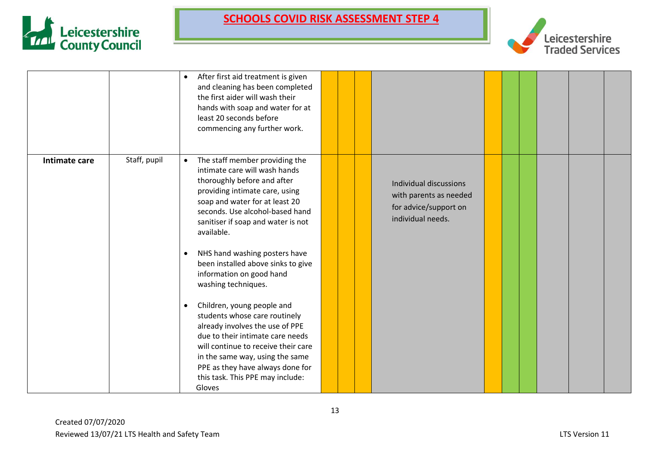



|               |              | After first aid treatment is given<br>$\bullet$<br>and cleaning has been completed<br>the first aider will wash their<br>hands with soap and water for at<br>least 20 seconds before<br>commencing any further work.                                                   |  |                                                                                                |  |  |  |
|---------------|--------------|------------------------------------------------------------------------------------------------------------------------------------------------------------------------------------------------------------------------------------------------------------------------|--|------------------------------------------------------------------------------------------------|--|--|--|
| Intimate care | Staff, pupil | The staff member providing the<br>$\bullet$<br>intimate care will wash hands<br>thoroughly before and after<br>providing intimate care, using<br>soap and water for at least 20<br>seconds. Use alcohol-based hand<br>sanitiser if soap and water is not<br>available. |  | Individual discussions<br>with parents as needed<br>for advice/support on<br>individual needs. |  |  |  |
|               |              | NHS hand washing posters have<br>$\bullet$<br>been installed above sinks to give<br>information on good hand<br>washing techniques.<br>Children, young people and<br>$\bullet$<br>students whose care routinely                                                        |  |                                                                                                |  |  |  |
|               |              | already involves the use of PPE<br>due to their intimate care needs<br>will continue to receive their care<br>in the same way, using the same<br>PPE as they have always done for<br>this task. This PPE may include:<br>Gloves                                        |  |                                                                                                |  |  |  |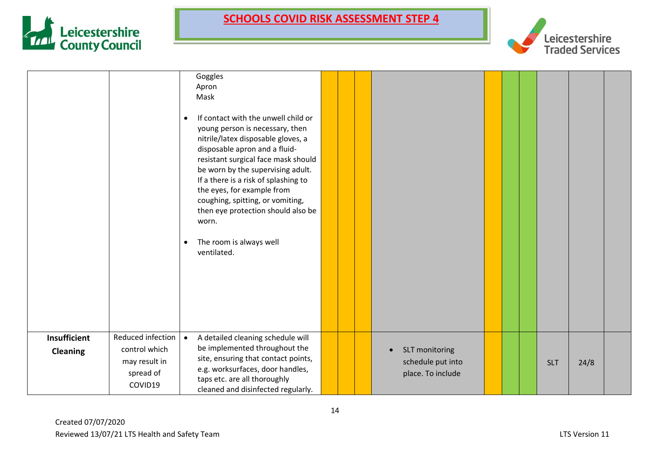



|                                 |                                                                             | Goggles<br>Apron<br>Mask<br>If contact with the unwell child or<br>$\bullet$<br>young person is necessary, then<br>nitrile/latex disposable gloves, a<br>disposable apron and a fluid-<br>resistant surgical face mask should<br>be worn by the supervising adult.<br>If a there is a risk of splashing to<br>the eyes, for example from<br>coughing, spitting, or vomiting,<br>then eye protection should also be<br>worn.<br>The room is always well<br>$\bullet$<br>ventilated. |                                                                       |  |            |      |  |
|---------------------------------|-----------------------------------------------------------------------------|------------------------------------------------------------------------------------------------------------------------------------------------------------------------------------------------------------------------------------------------------------------------------------------------------------------------------------------------------------------------------------------------------------------------------------------------------------------------------------|-----------------------------------------------------------------------|--|------------|------|--|
| Insufficient<br><b>Cleaning</b> | Reduced infection<br>control which<br>may result in<br>spread of<br>COVID19 | A detailed cleaning schedule will<br>$\bullet$<br>be implemented throughout the<br>site, ensuring that contact points,<br>e.g. worksurfaces, door handles,<br>taps etc. are all thoroughly<br>cleaned and disinfected regularly.                                                                                                                                                                                                                                                   | SLT monitoring<br>$\bullet$<br>schedule put into<br>place. To include |  | <b>SLT</b> | 24/8 |  |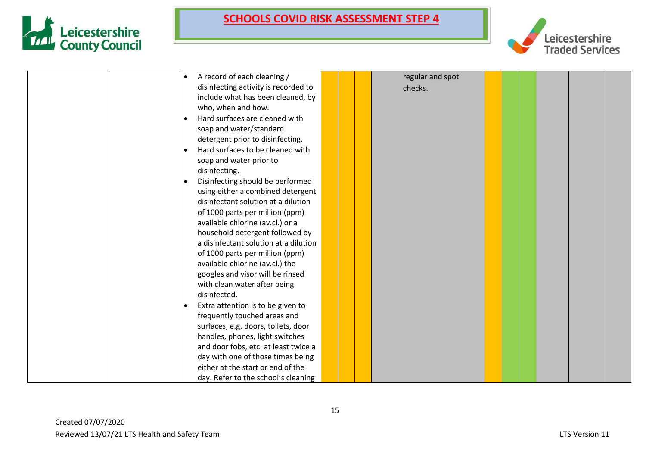



| A record of each cleaning /<br>$\bullet$      |  | regular and spot |  |  |  |
|-----------------------------------------------|--|------------------|--|--|--|
| disinfecting activity is recorded to          |  | checks.          |  |  |  |
| include what has been cleaned, by             |  |                  |  |  |  |
| who, when and how.                            |  |                  |  |  |  |
| Hard surfaces are cleaned with<br>$\bullet$   |  |                  |  |  |  |
| soap and water/standard                       |  |                  |  |  |  |
| detergent prior to disinfecting.              |  |                  |  |  |  |
| Hard surfaces to be cleaned with              |  |                  |  |  |  |
| soap and water prior to                       |  |                  |  |  |  |
| disinfecting.                                 |  |                  |  |  |  |
| Disinfecting should be performed<br>$\bullet$ |  |                  |  |  |  |
| using either a combined detergent             |  |                  |  |  |  |
| disinfectant solution at a dilution           |  |                  |  |  |  |
| of 1000 parts per million (ppm)               |  |                  |  |  |  |
| available chlorine (av.cl.) or a              |  |                  |  |  |  |
| household detergent followed by               |  |                  |  |  |  |
| a disinfectant solution at a dilution         |  |                  |  |  |  |
| of 1000 parts per million (ppm)               |  |                  |  |  |  |
| available chlorine (av.cl.) the               |  |                  |  |  |  |
| googles and visor will be rinsed              |  |                  |  |  |  |
| with clean water after being                  |  |                  |  |  |  |
| disinfected.                                  |  |                  |  |  |  |
| Extra attention is to be given to             |  |                  |  |  |  |
| frequently touched areas and                  |  |                  |  |  |  |
| surfaces, e.g. doors, toilets, door           |  |                  |  |  |  |
| handles, phones, light switches               |  |                  |  |  |  |
| and door fobs, etc. at least twice a          |  |                  |  |  |  |
| day with one of those times being             |  |                  |  |  |  |
| either at the start or end of the             |  |                  |  |  |  |
| day. Refer to the school's cleaning           |  |                  |  |  |  |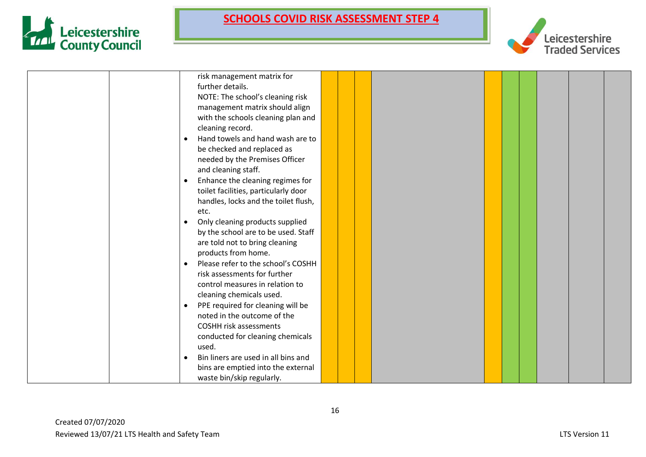



|           | risk management matrix for           |  |  |  |  |  |
|-----------|--------------------------------------|--|--|--|--|--|
|           | further details.                     |  |  |  |  |  |
|           | NOTE: The school's cleaning risk     |  |  |  |  |  |
|           | management matrix should align       |  |  |  |  |  |
|           | with the schools cleaning plan and   |  |  |  |  |  |
|           | cleaning record.                     |  |  |  |  |  |
| $\bullet$ | Hand towels and hand wash are to     |  |  |  |  |  |
|           | be checked and replaced as           |  |  |  |  |  |
|           | needed by the Premises Officer       |  |  |  |  |  |
|           | and cleaning staff.                  |  |  |  |  |  |
| $\bullet$ | Enhance the cleaning regimes for     |  |  |  |  |  |
|           | toilet facilities, particularly door |  |  |  |  |  |
|           | handles, locks and the toilet flush, |  |  |  |  |  |
|           | etc.                                 |  |  |  |  |  |
| $\bullet$ | Only cleaning products supplied      |  |  |  |  |  |
|           | by the school are to be used. Staff  |  |  |  |  |  |
|           | are told not to bring cleaning       |  |  |  |  |  |
|           | products from home.                  |  |  |  |  |  |
| $\bullet$ | Please refer to the school's COSHH   |  |  |  |  |  |
|           | risk assessments for further         |  |  |  |  |  |
|           | control measures in relation to      |  |  |  |  |  |
|           | cleaning chemicals used.             |  |  |  |  |  |
| $\bullet$ | PPE required for cleaning will be    |  |  |  |  |  |
|           | noted in the outcome of the          |  |  |  |  |  |
|           | <b>COSHH risk assessments</b>        |  |  |  |  |  |
|           | conducted for cleaning chemicals     |  |  |  |  |  |
|           | used.                                |  |  |  |  |  |
| $\bullet$ | Bin liners are used in all bins and  |  |  |  |  |  |
|           | bins are emptied into the external   |  |  |  |  |  |
|           | waste bin/skip regularly.            |  |  |  |  |  |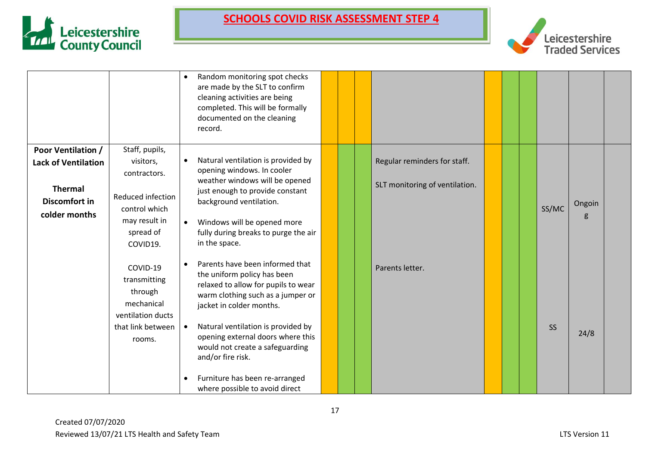



|                            |                                                                        | Random monitoring spot checks<br>$\bullet$<br>are made by the SLT to confirm<br>cleaning activities are being<br>completed. This will be formally<br>documented on the cleaning<br>record. |  |                                |  |           |       |        |  |
|----------------------------|------------------------------------------------------------------------|--------------------------------------------------------------------------------------------------------------------------------------------------------------------------------------------|--|--------------------------------|--|-----------|-------|--------|--|
| <b>Poor Ventilation /</b>  | Staff, pupils,                                                         |                                                                                                                                                                                            |  |                                |  |           |       |        |  |
| <b>Lack of Ventilation</b> | visitors,<br>contractors.                                              | Natural ventilation is provided by<br>$\bullet$<br>opening windows. In cooler                                                                                                              |  | Regular reminders for staff.   |  |           |       |        |  |
| <b>Thermal</b>             |                                                                        | weather windows will be opened<br>just enough to provide constant                                                                                                                          |  | SLT monitoring of ventilation. |  |           |       |        |  |
| Discomfort in              | Reduced infection<br>control which                                     | background ventilation.                                                                                                                                                                    |  |                                |  |           | SS/MC | Ongoin |  |
| colder months              | may result in<br>spread of<br>COVID19.                                 | Windows will be opened more<br>fully during breaks to purge the air<br>in the space.                                                                                                       |  |                                |  |           |       | g      |  |
|                            | COVID-19<br>transmitting<br>through<br>mechanical<br>ventilation ducts | Parents have been informed that<br>$\bullet$<br>the uniform policy has been<br>relaxed to allow for pupils to wear<br>warm clothing such as a jumper or<br>jacket in colder months.        |  | Parents letter.                |  |           |       |        |  |
|                            | that link between<br>rooms.                                            | Natural ventilation is provided by<br>opening external doors where this<br>would not create a safeguarding<br>and/or fire risk.                                                            |  |                                |  | <b>SS</b> | 24/8  |        |  |
|                            |                                                                        | Furniture has been re-arranged<br>where possible to avoid direct                                                                                                                           |  |                                |  |           |       |        |  |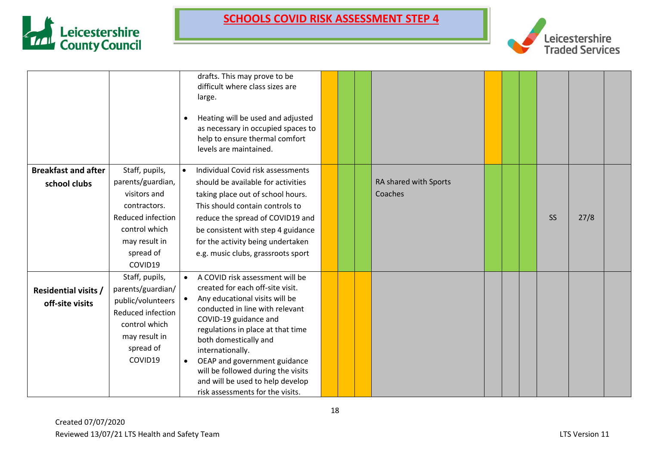



|                             |                                        | $\bullet$ | drafts. This may prove to be<br>difficult where class sizes are<br>large.<br>Heating will be used and adjusted<br>as necessary in occupied spaces to<br>help to ensure thermal comfort<br>levels are maintained. |  |                       |  |           |      |  |
|-----------------------------|----------------------------------------|-----------|------------------------------------------------------------------------------------------------------------------------------------------------------------------------------------------------------------------|--|-----------------------|--|-----------|------|--|
| <b>Breakfast and after</b>  | Staff, pupils,                         | $\bullet$ | Individual Covid risk assessments                                                                                                                                                                                |  |                       |  |           |      |  |
| school clubs                | parents/guardian,                      |           | should be available for activities                                                                                                                                                                               |  | RA shared with Sports |  |           |      |  |
|                             | visitors and<br>contractors.           |           | taking place out of school hours.<br>This should contain controls to                                                                                                                                             |  | Coaches               |  |           |      |  |
|                             | Reduced infection                      |           | reduce the spread of COVID19 and                                                                                                                                                                                 |  |                       |  | <b>SS</b> | 27/8 |  |
|                             | control which                          |           | be consistent with step 4 guidance                                                                                                                                                                               |  |                       |  |           |      |  |
|                             | may result in                          |           | for the activity being undertaken                                                                                                                                                                                |  |                       |  |           |      |  |
|                             | spread of<br>COVID19                   |           | e.g. music clubs, grassroots sport                                                                                                                                                                               |  |                       |  |           |      |  |
|                             | Staff, pupils,                         |           | A COVID risk assessment will be                                                                                                                                                                                  |  |                       |  |           |      |  |
| <b>Residential visits /</b> | parents/guardian/                      |           | created for each off-site visit.<br>Any educational visits will be                                                                                                                                               |  |                       |  |           |      |  |
| off-site visits             | public/volunteers<br>Reduced infection |           | conducted in line with relevant                                                                                                                                                                                  |  |                       |  |           |      |  |
|                             | control which                          |           | COVID-19 guidance and                                                                                                                                                                                            |  |                       |  |           |      |  |
|                             | may result in                          |           | regulations in place at that time<br>both domestically and                                                                                                                                                       |  |                       |  |           |      |  |
|                             | spread of                              |           | internationally.                                                                                                                                                                                                 |  |                       |  |           |      |  |
|                             | COVID19                                | $\bullet$ | OEAP and government guidance                                                                                                                                                                                     |  |                       |  |           |      |  |
|                             |                                        |           | will be followed during the visits                                                                                                                                                                               |  |                       |  |           |      |  |
|                             |                                        |           | and will be used to help develop<br>risk assessments for the visits.                                                                                                                                             |  |                       |  |           |      |  |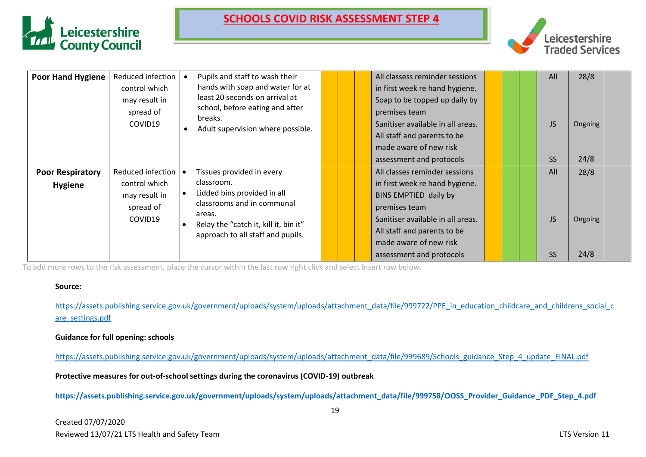



| <b>Poor Hand Hygiene</b>                  | Reduced infection<br>control which<br>may result in<br>spread of<br>COVID19     | Pupils and staff to wash their<br>hands with soap and water for at<br>least 20 seconds on arrival at<br>school, before eating and after<br>breaks.<br>Adult supervision where possible.      |  | All classess reminder sessions<br>in first week re hand hygiene.<br>Soap to be topped up daily by<br>premises team<br>Sanitiser available in all areas.<br>All staff and parents to be<br>made aware of new risk<br>assessment and protocols |  | All<br><b>JS</b><br><b>SS</b> | 28/8<br>Ongoing<br>24/8 |  |
|-------------------------------------------|---------------------------------------------------------------------------------|----------------------------------------------------------------------------------------------------------------------------------------------------------------------------------------------|--|----------------------------------------------------------------------------------------------------------------------------------------------------------------------------------------------------------------------------------------------|--|-------------------------------|-------------------------|--|
| <b>Poor Respiratory</b><br><b>Hygiene</b> | Reduced infection   •<br>control which<br>may result in<br>spread of<br>COVID19 | Tissues provided in every<br>classroom.<br>Lidded bins provided in all<br>classrooms and in communal<br>areas.<br>Relay the "catch it, kill it, bin it"<br>approach to all staff and pupils. |  | All classes reminder sessions<br>in first week re hand hygiene.<br>BINS EMPTIED daily by<br>premises team<br>Sanitiser available in all areas.<br>All staff and parents to be<br>made aware of new risk<br>assessment and protocols          |  | All<br><b>JS</b><br><b>SS</b> | 28/8<br>Ongoing<br>24/8 |  |

To add more rows to the risk assessment, place the cursor within the last row right click and select insert row below.

#### **Source:**

[https://assets.publishing.service.gov.uk/government/uploads/system/uploads/attachment\\_data/file/999722/PPE\\_in\\_education\\_childcare\\_and\\_childrens\\_social\\_c](https://assets.publishing.service.gov.uk/government/uploads/system/uploads/attachment_data/file/999722/PPE_in_education_childcare_and_childrens_social_care_settings.pdf) [are\\_settings.pdf](https://assets.publishing.service.gov.uk/government/uploads/system/uploads/attachment_data/file/999722/PPE_in_education_childcare_and_childrens_social_care_settings.pdf)

#### **Guidance for full opening: schools**

[https://assets.publishing.service.gov.uk/government/uploads/system/uploads/attachment\\_data/file/999689/Schools\\_guidance\\_Step\\_4\\_update\\_FINAL.pdf](https://assets.publishing.service.gov.uk/government/uploads/system/uploads/attachment_data/file/999689/Schools_guidance_Step_4_update_FINAL.pdf)

**Protective measures for out-of-school settings during the coronavirus (COVID-19) outbreak**

**[https://assets.publishing.service.gov.uk/government/uploads/system/uploads/attachment\\_data/file/999758/OOSS\\_Provider\\_Guidance\\_PDF\\_Step\\_4.pdf](https://assets.publishing.service.gov.uk/government/uploads/system/uploads/attachment_data/file/999758/OOSS_Provider_Guidance_PDF_Step_4.pdf)**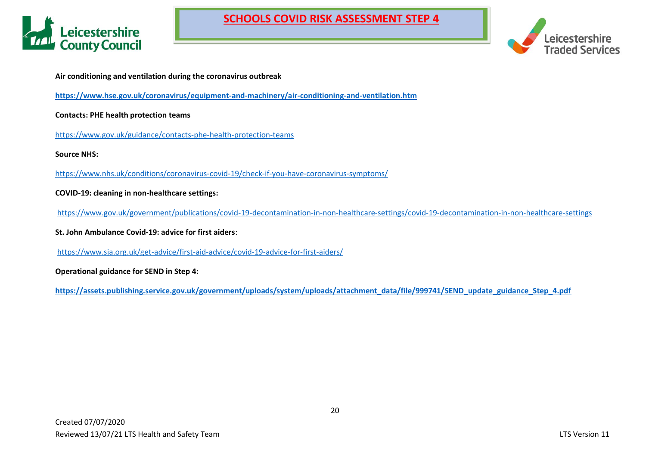



**Air conditioning and ventilation during the coronavirus outbreak**

**<https://www.hse.gov.uk/coronavirus/equipment-and-machinery/air-conditioning-and-ventilation.htm>**

**Contacts: PHE health protection teams**

<https://www.gov.uk/guidance/contacts-phe-health-protection-teams>

**Source NHS:**

<https://www.nhs.uk/conditions/coronavirus-covid-19/check-if-you-have-coronavirus-symptoms/>

**COVID-19: cleaning in non-healthcare settings:**

<https://www.gov.uk/government/publications/covid-19-decontamination-in-non-healthcare-settings/covid-19-decontamination-in-non-healthcare-settings>

**St. John Ambulance Covid-19: advice for first aiders**:

<https://www.sja.org.uk/get-advice/first-aid-advice/covid-19-advice-for-first-aiders/>

**Operational guidance for SEND in Step 4:**

**[https://assets.publishing.service.gov.uk/government/uploads/system/uploads/attachment\\_data/file/999741/SEND\\_update\\_guidance\\_Step\\_4.pdf](https://assets.publishing.service.gov.uk/government/uploads/system/uploads/attachment_data/file/999741/SEND_update_guidance_Step_4.pdf)**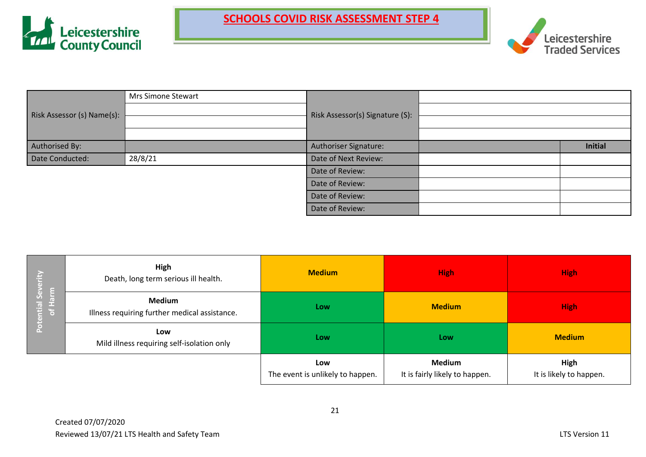



|                            | Mrs Simone Stewart |                                 |                |
|----------------------------|--------------------|---------------------------------|----------------|
| Risk Assessor (s) Name(s): |                    | Risk Assessor(s) Signature (S): |                |
|                            |                    |                                 |                |
|                            |                    |                                 |                |
| Authorised By:             |                    | Authoriser Signature:           | <b>Initial</b> |
| Date Conducted:            | 28/8/21            | Date of Next Review:            |                |
|                            |                    | Date of Review:                 |                |
|                            |                    | Date of Review:                 |                |
|                            |                    | Date of Review:                 |                |
|                            |                    | Date of Review:                 |                |

| ÷<br>ि,              | High<br>Death, long term serious ill health.                   | <b>Medium</b>                           | <b>High</b>                                     | <b>High</b>                     |
|----------------------|----------------------------------------------------------------|-----------------------------------------|-------------------------------------------------|---------------------------------|
| ntial Sev<br>of Harm | <b>Medium</b><br>Illness requiring further medical assistance. | Low                                     | <b>Medium</b>                                   | <b>High</b>                     |
| $\overline{5}$       | Low<br>Mild illness requiring self-isolation only              | Low                                     | Low                                             | <b>Medium</b>                   |
|                      |                                                                | Low<br>The event is unlikely to happen. | <b>Medium</b><br>It is fairly likely to happen. | High<br>It is likely to happen. |